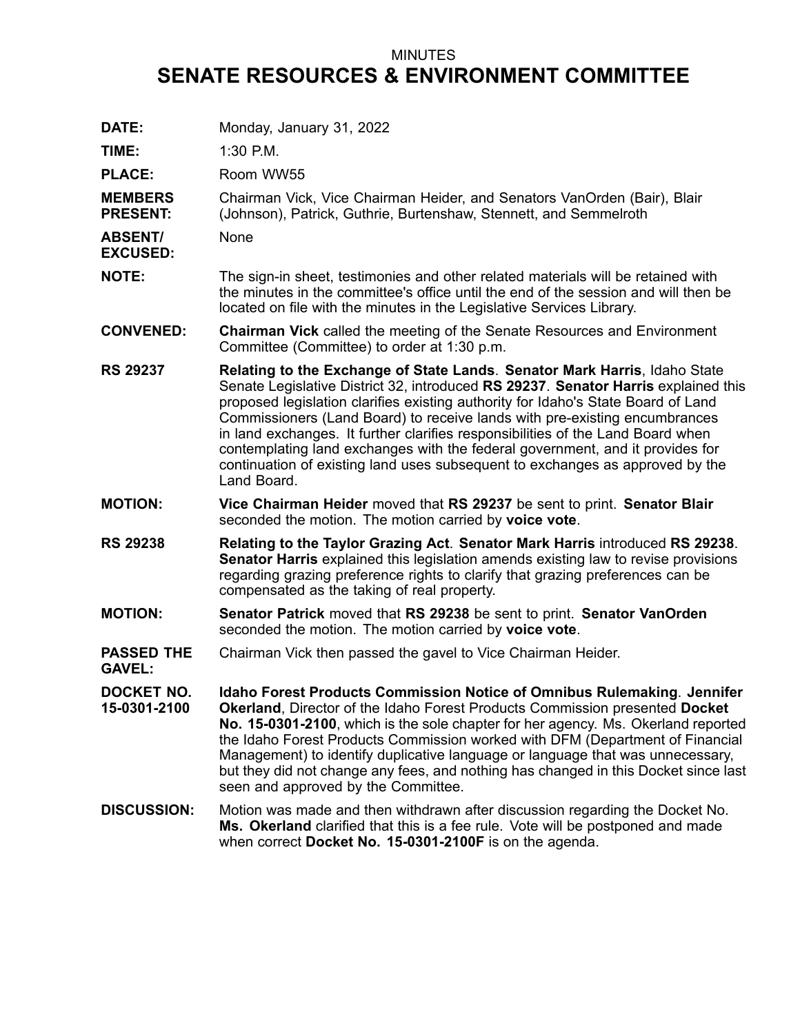## MINUTES **SENATE RESOURCES & ENVIRONMENT COMMITTEE**

**DATE:** Monday, January 31, 2022

**TIME:** 1:30 P.M.

**PLACE:** Room WW55

**MEMBERS PRESENT:** Chairman Vick, Vice Chairman Heider, and Senators VanOrden (Bair), Blair (Johnson), Patrick, Guthrie, Burtenshaw, Stennett, and Semmelroth

**ABSENT/** None

- **EXCUSED:**
- **NOTE:** The sign-in sheet, testimonies and other related materials will be retained with the minutes in the committee's office until the end of the session and will then be located on file with the minutes in the Legislative Services Library.
- **CONVENED: Chairman Vick** called the meeting of the Senate Resources and Environment Committee (Committee) to order at 1:30 p.m.
- **RS 29237 Relating to the Exchange of State Lands**. **Senator Mark Harris**, Idaho State Senate Legislative District 32, introduced **RS 29237**. **Senator Harris** explained this proposed legislation clarifies existing authority for Idaho's State Board of Land Commissioners (Land Board) to receive lands with pre-existing encumbrances in land exchanges. It further clarifies responsibilities of the Land Board when contemplating land exchanges with the federal government, and it provides for continuation of existing land uses subsequent to exchanges as approved by the Land Board.
- **MOTION: Vice Chairman Heider** moved that **RS 29237** be sent to print. **Senator Blair** seconded the motion. The motion carried by **voice vote**.
- **RS 29238 Relating to the Taylor Grazing Act**. **Senator Mark Harris** introduced **RS 29238**. **Senator Harris** explained this legislation amends existing law to revise provisions regarding grazing preference rights to clarify that grazing preferences can be compensated as the taking of real property.
- **MOTION: Senator Patrick** moved that **RS 29238** be sent to print. **Senator VanOrden** seconded the motion. The motion carried by **voice vote**.
- **PASSED THE GAVEL:** Chairman Vick then passed the gavel to Vice Chairman Heider.
- **DOCKET NO. 15-0301-2100 Idaho Forest Products Commission Notice of Omnibus Rulemaking**. **Jennifer Okerland**, Director of the Idaho Forest Products Commission presented **Docket No. 15-0301-2100**, which is the sole chapter for her agency. Ms. Okerland reported the Idaho Forest Products Commission worked with DFM (Department of Financial Management) to identify duplicative language or language that was unnecessary, but they did not change any fees, and nothing has changed in this Docket since last seen and approved by the Committee.
- **DISCUSSION:** Motion was made and then withdrawn after discussion regarding the Docket No. **Ms. Okerland** clarified that this is <sup>a</sup> fee rule. Vote will be postponed and made when correct **Docket No. 15-0301-2100F** is on the agenda.